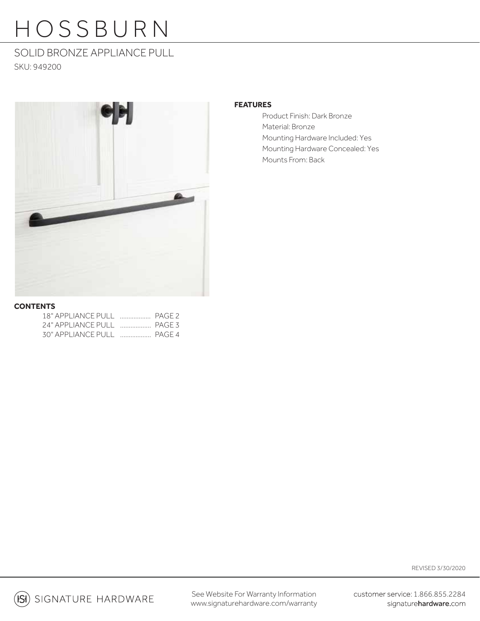### SOLID BRONZE APPLIANCE PULL SKU: 949200



### **FEATURES**

Product Finish: Dark Bronze Material: Bronze Mounting Hardware Included: Yes Mounting Hardware Concealed: Yes Mounts From: Back

### **CONTENTS**

| 24" APPLIANCE PULL  PAGE 3 |  |
|----------------------------|--|
|                            |  |

REVISED 3/30/2020

 $(S)$  signature hardware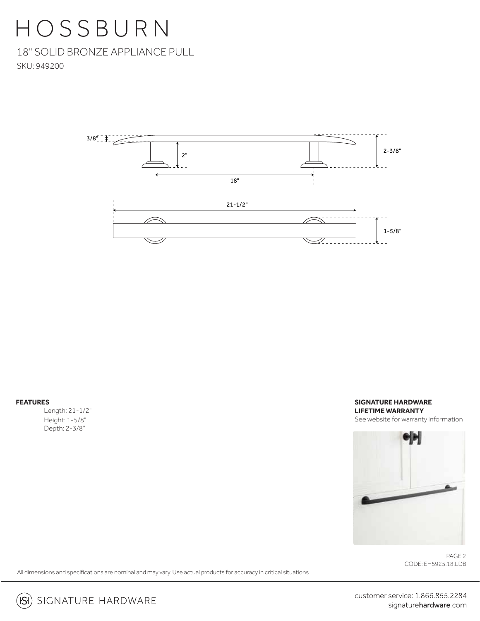18" SOLID BRONZE APPLIANCE PULL SKU: 949200



**FEATURES**

 Length: 21-1/2" Height: 1-5/8" Depth: 2-3/8"

### **SIGNATURE HARDWARE LIFETIME WARRANTY** See website for warranty information



CODE: EH5925.18.LDB PAGE 2

All dimensions and specifications are nominal and may vary. Use actual products for accuracy in critical situations.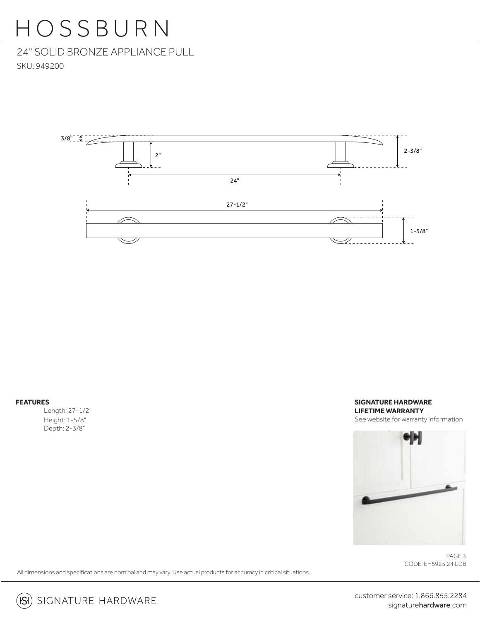24" SOLID BRONZE APPLIANCE PULL SKU: 949200



#### **FEATURES**

 Length: 27-1/2" Height: 1-5/8" Depth: 2-3/8"

### **SIGNATURE HARDWARE LIFETIME WARRANTY** See website for warranty information



CODE: EH5925.24.LDB PAGE 3

All dimensions and specifications are nominal and may vary. Use actual products for accuracy in critical situations.

customer service: 1.866.855.2284 signaturehardware.com